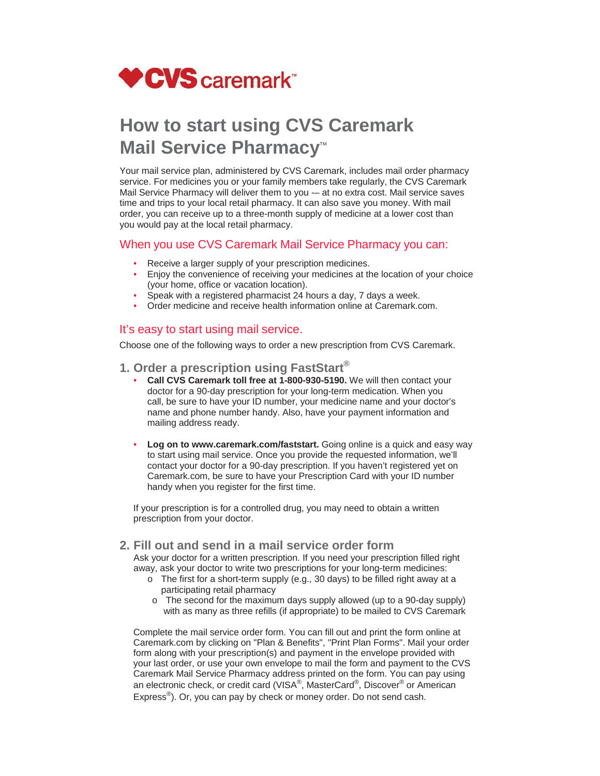

# **How to start using CVS Caremark Mail Service Pharmacy<sup>™</sup>**

Your mail service plan, administered by CVS Caremark, includes mail order pharmacy service. For medicines you or your family members take regularly, the CVS Caremark Mail Service Pharmacy will deliver them to you -- at no extra cost. Mail service saves time and trips to your local retail pharmacy. It can also save you money. With mail order, you can receive up to a three-month supply of medicine at a lower cost than you would pay at the local retail pharmacy.

#### When you use CVS Caremark Mail Service Pharmacy you can:

- Receive a larger supply of your prescription medicines.
- Enjoy the convenience of receiving your medicines at the location of your choice (your home, office or vacation location).
- Speak with a registered pharmacist 24 hours a day, 7 days a week.
- Order medicine and receive health information online at Caremark.com.

## It's easy to start using mail service.

Choose one of the following ways to order a new prescription from CVS Caremark.

- **1. Order a prescription using FastStart®**
	- **Call CVS Caremark toll free at 1-800-930-5190.** We will then contact your doctor for a 90-day prescription for your long-term medication. When you call, be sure to have your ID number, your medicine name and your doctor's name and phone number handy. Also, have your payment information and mailing address ready.
	- **Log on to www.caremark.com/faststart.** Going online is a quick and easy way to start using mail service. Once you provide the requested information, we'll contact your doctor for a 90-day prescription. If you haven't registered yet on Caremark.com, be sure to have your Prescription Card with your ID number handy when you register for the first time.

If your prescription is for a controlled drug, you may need to obtain a written prescription from your doctor.

### **2. Fill out and send in a mail service order form**

Ask your doctor for a written prescription. If you need your prescription filled right away, ask your doctor to write two prescriptions for your long-term medicines:

- o The first for a short-term supply (e.g., 30 days) to be filled right away at a participating retail pharmacy
- o The second for the maximum days supply allowed (up to a 90-day supply) with as many as three refills (if appropriate) to be mailed to CVS Caremark

Complete the mail service order form. You can fill out and print the form online at Caremark.com by clicking on "Plan & Benefits", "Print Plan Forms". Mail your order form along with your prescription(s) and payment in the envelope provided with your last order, or use your own envelope to mail the form and payment to the CVS Caremark Mail Service Pharmacy address printed on the form. You can pay using an electronic check, or credit card (VISA®, MasterCard®, Discover® or American Express®). Or, you can pay by check or money order. Do not send cash.